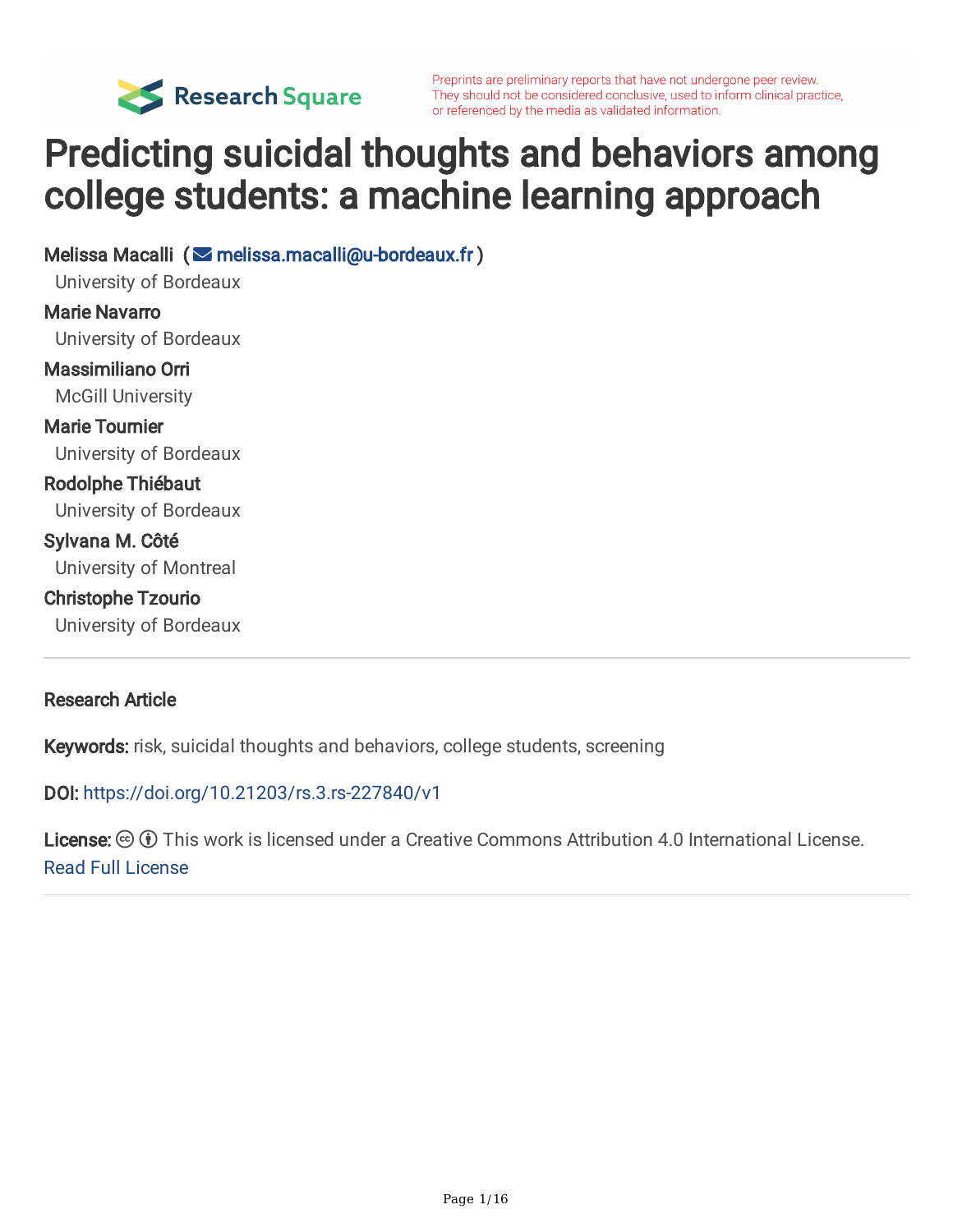

Preprints are preliminary reports that have not undergone peer review. They should not be considered conclusive, used to inform clinical practice, or referenced by the media as validated information.

# Predicting suicidal thoughts and behaviors among college students: a machine learning approach

Melissa Macalli ( [melissa.macalli@u-bordeaux.fr](mailto:melissa.macalli@u-bordeaux.fr) ) University of Bordeaux Marie Navarro University of Bordeaux Massimiliano Orri McGill University Marie Tournier University of Bordeaux Rodolphe Thiébaut University of Bordeaux Sylvana M. Côté University of Montreal Christophe Tzourio University of Bordeaux

#### Research Article

Keywords: risk, suicidal thoughts and behaviors, college students, screening

#### DOI: <https://doi.org/10.21203/rs.3.rs-227840/v1>

**License:**  $\textcircled{f}$  This work is licensed under a Creative Commons Attribution 4.0 International License. Read Full [License](https://creativecommons.org/licenses/by/4.0/)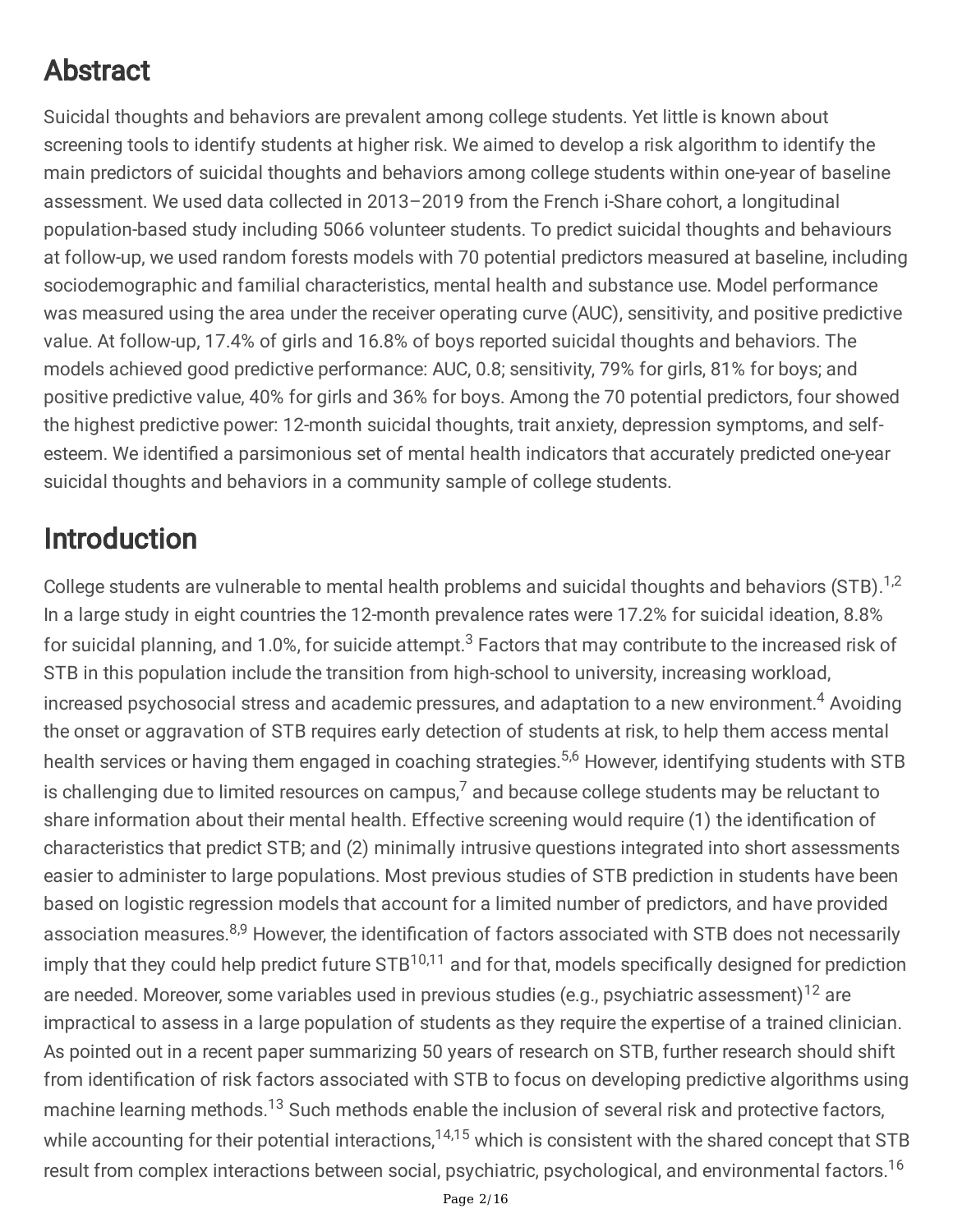# Abstract

Suicidal thoughts and behaviors are prevalent among college students. Yet little is known about screening tools to identify students at higher risk. We aimed to develop a risk algorithm to identify the main predictors of suicidal thoughts and behaviors among college students within one-year of baseline assessment. We used data collected in 2013–2019 from the French i-Share cohort, a longitudinal population-based study including 5066 volunteer students. To predict suicidal thoughts and behaviours at follow-up, we used random forests models with 70 potential predictors measured at baseline, including sociodemographic and familial characteristics, mental health and substance use. Model performance was measured using the area under the receiver operating curve (AUC), sensitivity, and positive predictive value. At follow-up, 17.4% of girls and 16.8% of boys reported suicidal thoughts and behaviors. The models achieved good predictive performance: AUC, 0.8; sensitivity, 79% for girls, 81% for boys; and positive predictive value, 40% for girls and 36% for boys. Among the 70 potential predictors, four showed the highest predictive power: 12-month suicidal thoughts, trait anxiety, depression symptoms, and selfesteem. We identified a parsimonious set of mental health indicators that accurately predicted one-year suicidal thoughts and behaviors in a community sample of college students.

## Introduction

College students are vulnerable to mental health problems and suicidal thoughts and behaviors (STB).<sup>1,2</sup> In a large study in eight countries the 12-month prevalence rates were 17.2% for suicidal ideation, 8.8% for suicidal planning, and 1.0%, for suicide attempt. $^3$  Factors that may contribute to the increased risk of STB in this population include the transition from high-school to university, increasing workload, increased psychosocial stress and academic pressures, and adaptation to a new environment. <sup>4</sup> Avoiding the onset or aggravation of STB requires early detection of students at risk, to help them access mental health services or having them engaged in coaching strategies.<sup>5,6</sup> However, identifying students with STB is challenging due to limited resources on campus, $^7$  and because college students may be reluctant to share information about their mental health. Effective screening would require (1) the identification of characteristics that predict STB; and (2) minimally intrusive questions integrated into short assessments easier to administer to large populations. Most previous studies of STB prediction in students have been based on logistic regression models that account for a limited number of predictors, and have provided association measures.<sup>8,9</sup> However, the identification of factors associated with STB does not necessarily imply that they could help predict future STB<sup>10,11</sup> and for that, models specifically designed for prediction are needed. Moreover, some variables used in previous studies (e.g., psychiatric assessment)<sup>12</sup> are impractical to assess in a large population of students as they require the expertise of a trained clinician. As pointed out in a recent paper summarizing 50 years of research on STB, further research should shift from identification of risk factors associated with STB to focus on developing predictive algorithms using machine learning methods.<sup>13</sup> Such methods enable the inclusion of several risk and protective factors, while accounting for their potential interactions,<sup>14,15</sup> which is consistent with the shared concept that STB result from complex interactions between social, psychiatric, psychological, and environmental factors. 16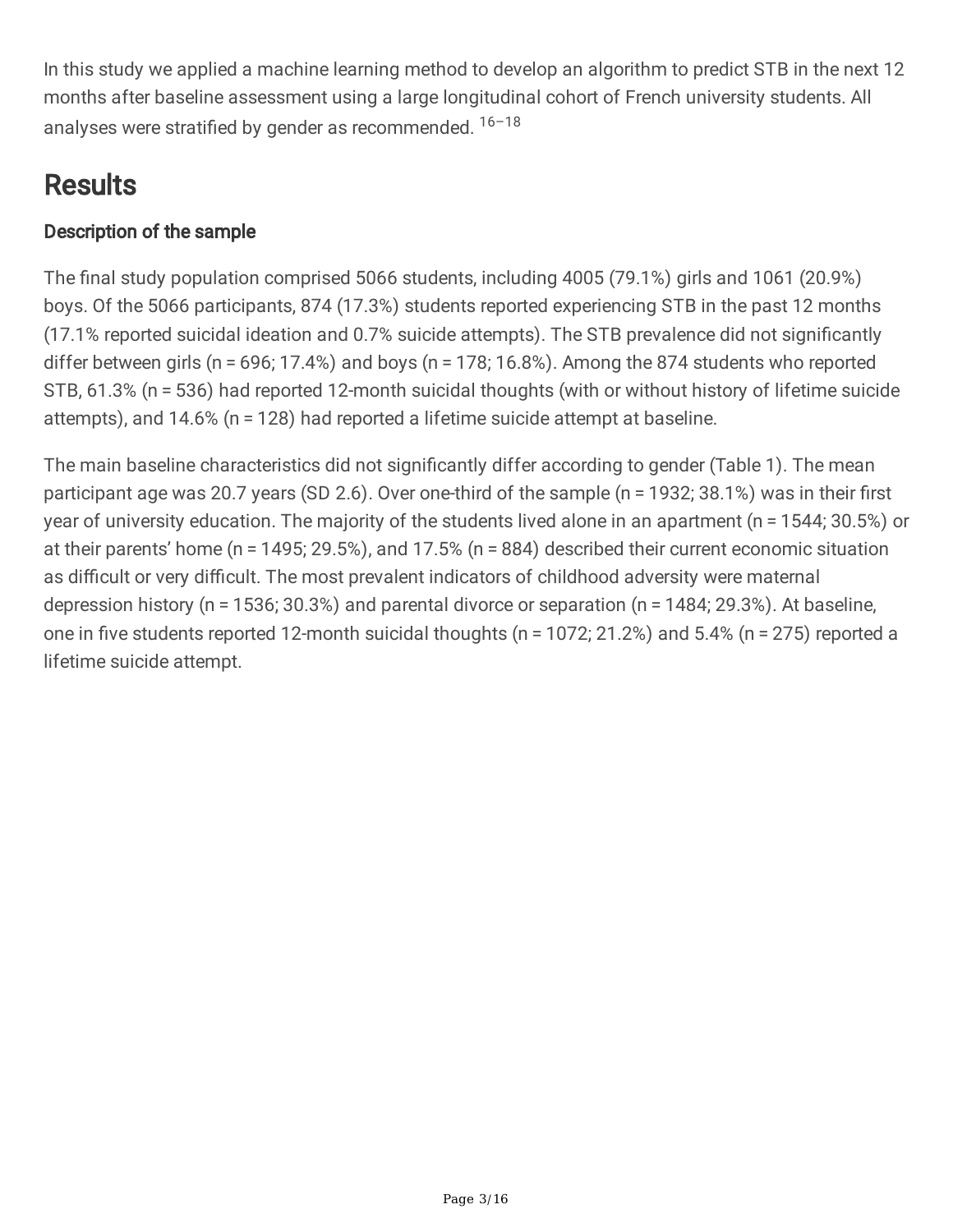In this study we applied a machine learning method to develop an algorithm to predict STB in the next 12 months after baseline assessment using a large longitudinal cohort of French university students. All analyses were stratified by gender as recommended.  $16-18$ 

## **Results**

### Description of the sample

The final study population comprised 5066 students, including 4005 (79.1%) girls and 1061 (20.9%) boys. Of the 5066 participants, 874 (17.3%) students reported experiencing STB in the past 12 months (17.1% reported suicidal ideation and 0.7% suicide attempts). The STB prevalence did not significantly differ between girls (n = 696; 17.4%) and boys (n = 178; 16.8%). Among the 874 students who reported STB, 61.3% (n = 536) had reported 12-month suicidal thoughts (with or without history of lifetime suicide attempts), and 14.6% (n = 128) had reported a lifetime suicide attempt at baseline.

The main baseline characteristics did not significantly differ according to gender (Table 1). The mean participant age was 20.7 years (SD 2.6). Over one-third of the sample (n = 1932; 38.1%) was in their first year of university education. The majority of the students lived alone in an apartment (n = 1544; 30.5%) or at their parents' home (n = 1495; 29.5%), and 17.5% (n = 884) described their current economic situation as difficult or very difficult. The most prevalent indicators of childhood adversity were maternal depression history (n = 1536; 30.3%) and parental divorce or separation (n = 1484; 29.3%). At baseline, one in five students reported 12-month suicidal thoughts ( $n = 1072$ ; 21.2%) and 5.4% ( $n = 275$ ) reported a lifetime suicide attempt.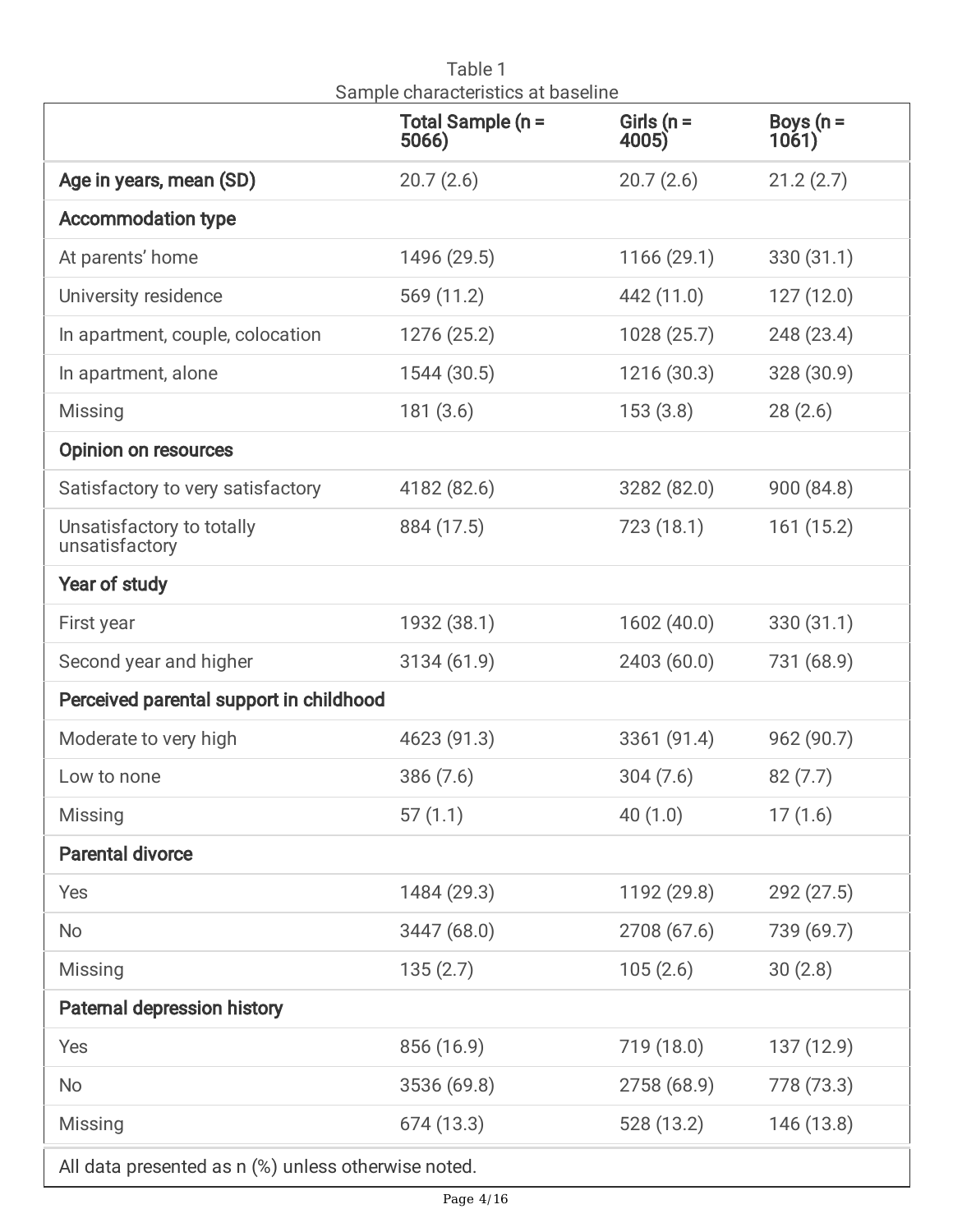|                                                     | Girls ( $n =$<br>Total Sample (n =<br>4005)<br>5066) |             | Boys ( $n =$<br>1061) |  |  |
|-----------------------------------------------------|------------------------------------------------------|-------------|-----------------------|--|--|
| Age in years, mean (SD)                             | 20.7(2.6)                                            | 20.7(2.6)   | 21.2(2.7)             |  |  |
| <b>Accommodation type</b>                           |                                                      |             |                       |  |  |
| At parents' home                                    | 1496 (29.5)                                          | 1166(29.1)  | 330(31.1)             |  |  |
| University residence                                | 569 (11.2)                                           | 442 (11.0)  | 127(12.0)             |  |  |
| In apartment, couple, colocation                    | 1276 (25.2)                                          | 1028(25.7)  | 248 (23.4)            |  |  |
| In apartment, alone                                 | 1544 (30.5)                                          | 1216(30.3)  | 328 (30.9)            |  |  |
| <b>Missing</b>                                      | 181(3.6)                                             | 153(3.8)    | 28(2.6)               |  |  |
| <b>Opinion on resources</b>                         |                                                      |             |                       |  |  |
| Satisfactory to very satisfactory                   | 4182 (82.6)                                          | 3282 (82.0) | 900 (84.8)            |  |  |
| Unsatisfactory to totally<br>unsatisfactory         | 884 (17.5)                                           | 723(18.1)   | 161(15.2)             |  |  |
| Year of study                                       |                                                      |             |                       |  |  |
| First year                                          | 1932 (38.1)                                          | 1602(40.0)  | 330(31.1)             |  |  |
| Second year and higher                              | 3134(61.9)                                           | 2403 (60.0) |                       |  |  |
| Perceived parental support in childhood             |                                                      |             |                       |  |  |
| Moderate to very high                               | 4623 (91.3)                                          | 3361(91.4)  | 962 (90.7)            |  |  |
| Low to none                                         | 386(7.6)                                             | 304(7.6)    | 82(7.7)               |  |  |
| Missing                                             | 57(1.1)                                              | 40(1.0)     | 17(1.6)               |  |  |
| <b>Parental divorce</b>                             |                                                      |             |                       |  |  |
| Yes                                                 | 1484 (29.3)                                          | 1192 (29.8) | 292(27.5)             |  |  |
| <b>No</b>                                           | 3447 (68.0)                                          | 2708 (67.6) | 739 (69.7)            |  |  |
| <b>Missing</b>                                      | 135(2.7)                                             | 105(2.6)    | 30(2.8)               |  |  |
| <b>Paternal depression history</b>                  |                                                      |             |                       |  |  |
| Yes                                                 | 856 (16.9)                                           | 719 (18.0)  | 137(12.9)             |  |  |
| <b>No</b>                                           | 3536 (69.8)                                          | 2758 (68.9) | 778 (73.3)            |  |  |
| Missing                                             | 674 (13.3)                                           | 528 (13.2)  | 146 (13.8)            |  |  |
| All data presented as n (%) unless otherwise noted. |                                                      |             |                       |  |  |

Table 1 Sample characteristics at baseline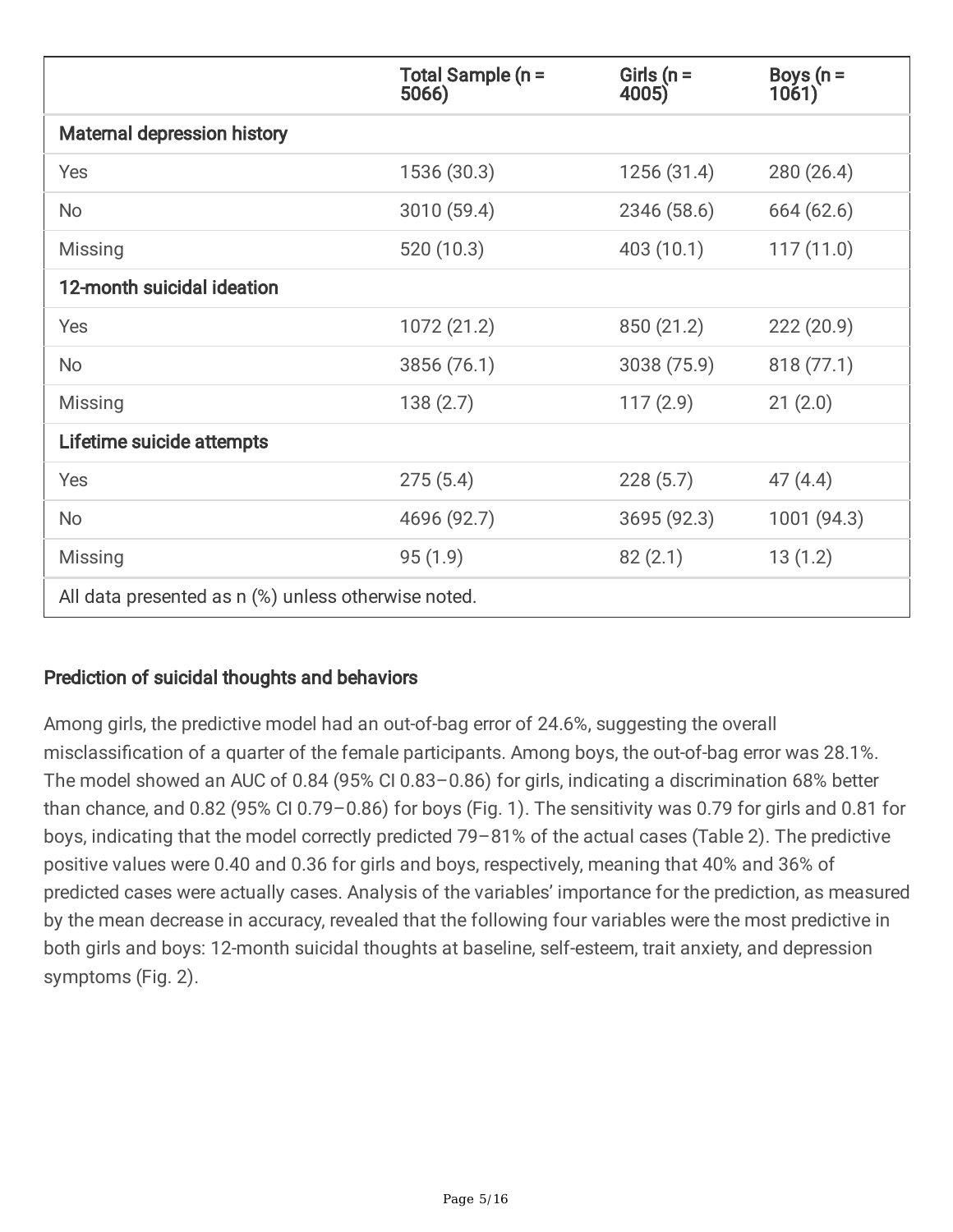|                                                     | Total Sample (n =<br>5066) | Girls ( $n =$<br>4005) | Boys ( $n =$<br>1061) |  |
|-----------------------------------------------------|----------------------------|------------------------|-----------------------|--|
| <b>Maternal depression history</b>                  |                            |                        |                       |  |
| Yes                                                 | 1536 (30.3)                | 1256 (31.4)            | 280(26.4)             |  |
| <b>No</b>                                           | 3010 (59.4)                | 2346 (58.6)            | 664 (62.6)            |  |
| Missing                                             | 520 (10.3)                 | 403 (10.1)             | 117(11.0)             |  |
| 12-month suicidal ideation                          |                            |                        |                       |  |
| Yes                                                 | 1072 (21.2)                | 850 (21.2)             | 222(20.9)             |  |
| <b>No</b>                                           | 3856 (76.1)                | 3038 (75.9)            | 818(77.1)             |  |
| Missing                                             | 138(2.7)                   | 117(2.9)               | 21(2.0)               |  |
| Lifetime suicide attempts                           |                            |                        |                       |  |
| Yes                                                 | 275(5.4)                   | 228(5.7)               | 47(4.4)               |  |
| <b>No</b>                                           | 4696 (92.7)                | 3695 (92.3)            | 1001 (94.3)           |  |
| Missing                                             | 95(1.9)                    | 82(2.1)                | 13(1.2)               |  |
| All data presented as n (%) unless otherwise noted. |                            |                        |                       |  |

### Prediction of suicidal thoughts and behaviors

Among girls, the predictive model had an out-of-bag error of 24.6%, suggesting the overall misclassification of a quarter of the female participants. Among boys, the out-of-bag error was 28.1%. The model showed an AUC of 0.84 (95% CI 0.83–0.86) for girls, indicating a discrimination 68% better than chance, and 0.82 (95% CI 0.79–0.86) for boys (Fig. 1). The sensitivity was 0.79 for girls and 0.81 for boys, indicating that the model correctly predicted 79–81% of the actual cases (Table 2). The predictive positive values were 0.40 and 0.36 for girls and boys, respectively, meaning that 40% and 36% of predicted cases were actually cases. Analysis of the variables' importance for the prediction, as measured by the mean decrease in accuracy, revealed that the following four variables were the most predictive in both girls and boys: 12-month suicidal thoughts at baseline, self-esteem, trait anxiety, and depression symptoms (Fig. 2).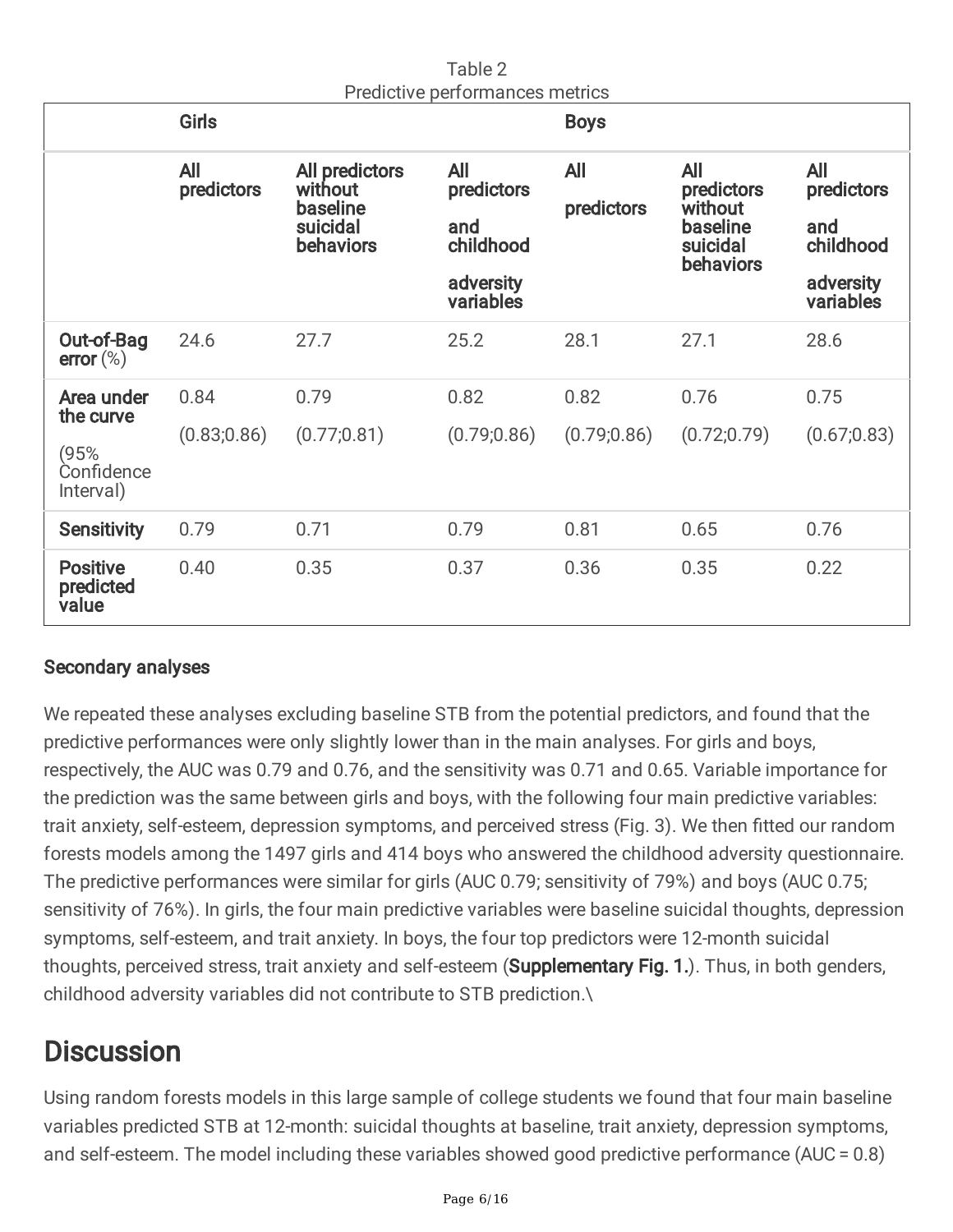|                                                            | Predictive performances inethics<br><b>Girls</b> |                                                                       |                                                                 | <b>Boys</b>              |                                                                          |                                                                        |
|------------------------------------------------------------|--------------------------------------------------|-----------------------------------------------------------------------|-----------------------------------------------------------------|--------------------------|--------------------------------------------------------------------------|------------------------------------------------------------------------|
|                                                            | <b>All</b><br>predictors                         | All predictors<br>without<br>baseline<br>suicidal<br><b>behaviors</b> | All<br>predictors<br>and<br>childhood<br>adversity<br>variables | <b>All</b><br>predictors | <b>All</b><br>predictors<br>without<br>baseline<br>suicidal<br>behaviors | <b>All</b><br>predictors<br>and<br>childhood<br>adversity<br>variables |
| Out-of-Bag<br>error $(\%)$                                 | 24.6                                             | 27.7                                                                  | 25.2                                                            | 28.1                     | 27.1                                                                     | 28.6                                                                   |
| Area under<br>the curve<br>(95%<br>Confidence<br>Interval) | 0.84<br>(0.83; 0.86)                             | 0.79<br>(0.77; 0.81)                                                  | 0.82<br>(0.79; 0.86)                                            | 0.82<br>(0.79; 0.86)     | 0.76<br>(0.72; 0.79)                                                     | 0.75<br>(0.67; 0.83)                                                   |
| <b>Sensitivity</b>                                         | 0.79                                             | 0.71                                                                  | 0.79                                                            | 0.81                     | 0.65                                                                     | 0.76                                                                   |
| <b>Positive</b><br>predicted<br>value                      | 0.40                                             | 0.35                                                                  | 0.37                                                            | 0.36                     | 0.35                                                                     | 0.22                                                                   |

Table 2 Predictive performances metrics

### Secondary analyses

We repeated these analyses excluding baseline STB from the potential predictors, and found that the predictive performances were only slightly lower than in the main analyses. For girls and boys, respectively, the AUC was 0.79 and 0.76, and the sensitivity was 0.71 and 0.65. Variable importance for the prediction was the same between girls and boys, with the following four main predictive variables: trait anxiety, self-esteem, depression symptoms, and perceived stress (Fig. 3). We then fitted our random forests models among the 1497 girls and 414 boys who answered the childhood adversity questionnaire. The predictive performances were similar for girls (AUC 0.79; sensitivity of 79%) and boys (AUC 0.75; sensitivity of 76%). In girls, the four main predictive variables were baseline suicidal thoughts, depression symptoms, self-esteem, and trait anxiety. In boys, the four top predictors were 12-month suicidal thoughts, perceived stress, trait anxiety and self-esteem (Supplementary Fig. 1.). Thus, in both genders, childhood adversity variables did not contribute to STB prediction.\

## **Discussion**

Using random forests models in this large sample of college students we found that four main baseline variables predicted STB at 12-month: suicidal thoughts at baseline, trait anxiety, depression symptoms, and self-esteem. The model including these variables showed good predictive performance (AUC = 0.8)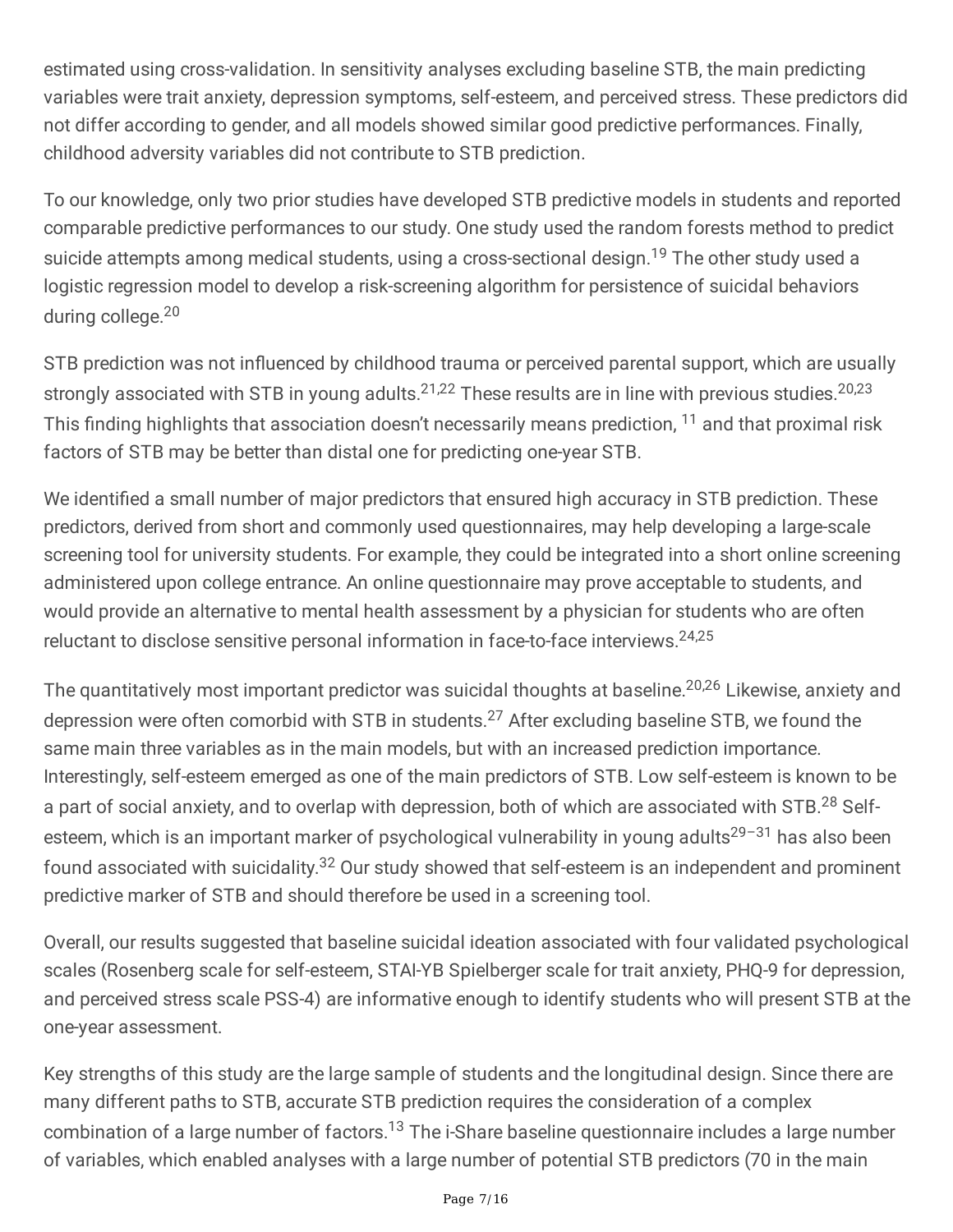estimated using cross-validation. In sensitivity analyses excluding baseline STB, the main predicting variables were trait anxiety, depression symptoms, self-esteem, and perceived stress. These predictors did not differ according to gender, and all models showed similar good predictive performances. Finally, childhood adversity variables did not contribute to STB prediction.

To our knowledge, only two prior studies have developed STB predictive models in students and reported comparable predictive performances to our study. One study used the random forests method to predict suicide attempts among medical students, using a cross-sectional design.<sup>19</sup> The other study used a logistic regression model to develop a risk-screening algorithm for persistence of suicidal behaviors during college. 20

STB prediction was not influenced by childhood trauma or perceived parental support, which are usually strongly associated with STB in young adults.<sup>21,22</sup> These results are in line with previous studies.<sup>20,23</sup> This finding highlights that association doesn't necessarily means prediction,  $^{11}$  and that proximal risk factors of STB may be better than distal one for predicting one-year STB.

We identified a small number of major predictors that ensured high accuracy in STB prediction. These predictors, derived from short and commonly used questionnaires, may help developing a large-scale screening tool for university students. For example, they could be integrated into a short online screening administered upon college entrance. An online questionnaire may prove acceptable to students, and would provide an alternative to mental health assessment by a physician for students who are often reluctant to disclose sensitive personal information in face-to-face interviews.<sup>24,25</sup>

The quantitatively most important predictor was suicidal thoughts at baseline. 20,26 Likewise, anxiety and depression were often comorbid with STB in students.<sup>27</sup> After excluding baseline STB, we found the same main three variables as in the main models, but with an increased prediction importance. Interestingly, self-esteem emerged as one of the main predictors of STB. Low self-esteem is known to be a part of social anxiety, and to overlap with depression, both of which are associated with STB.<sup>28</sup> Selfesteem, which is an important marker of psychological vulnerability in young adults<sup>29-31</sup> has also been found associated with suicidality.<sup>32</sup> Our study showed that self-esteem is an independent and prominent predictive marker of STB and should therefore be used in a screening tool.

Overall, our results suggested that baseline suicidal ideation associated with four validated psychological scales (Rosenberg scale for self-esteem, STAI-YB Spielberger scale for trait anxiety, PHQ-9 for depression, and perceived stress scale PSS-4) are informative enough to identify students who will present STB at the one-year assessment.

Key strengths of this study are the large sample of students and the longitudinal design. Since there are many different paths to STB, accurate STB prediction requires the consideration of a complex combination of a large number of factors.<sup>13</sup> The i-Share baseline questionnaire includes a large number of variables, which enabled analyses with a large number of potential STB predictors (70 in the main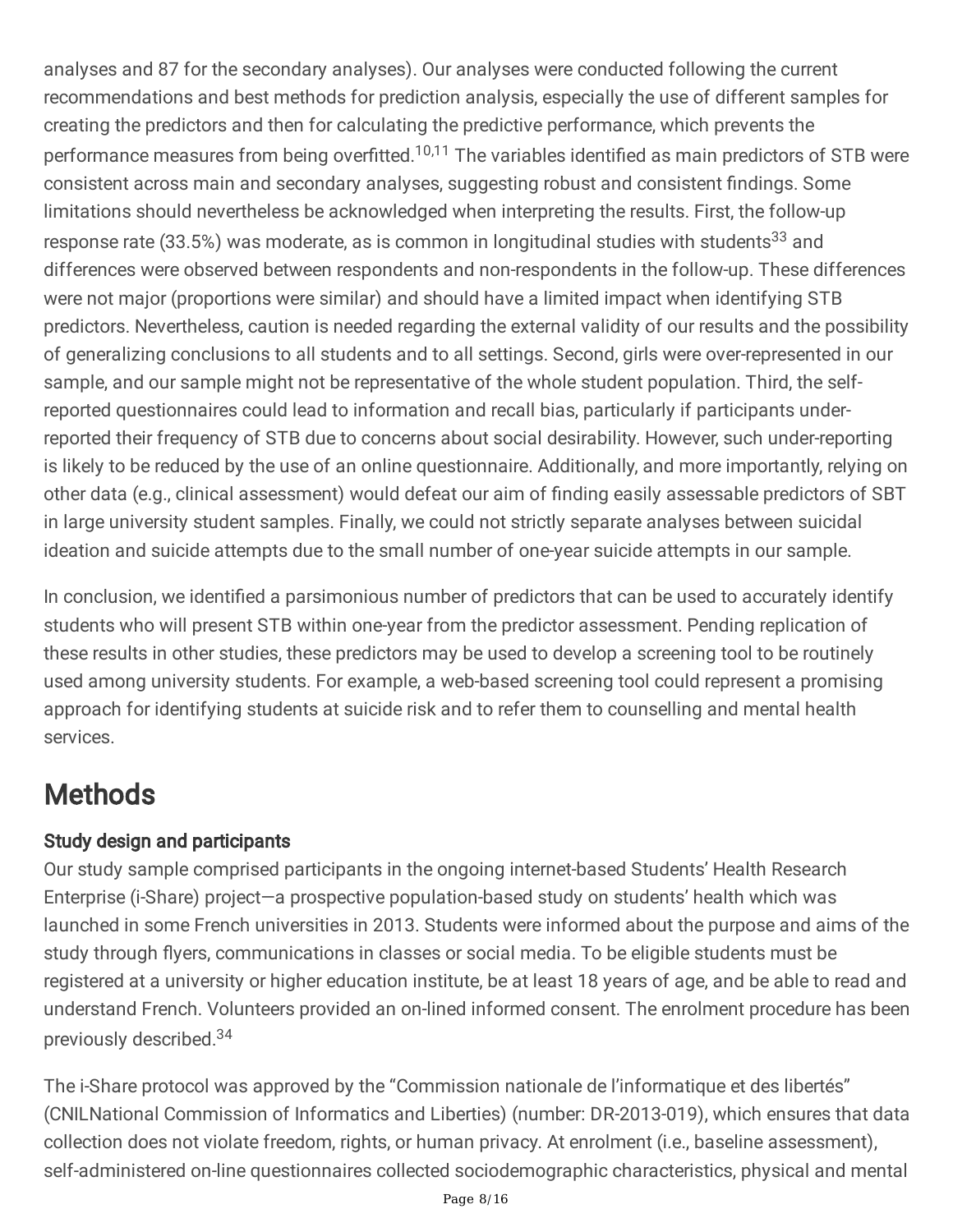analyses and 87 for the secondary analyses). Our analyses were conducted following the current recommendations and best methods for prediction analysis, especially the use of different samples for creating the predictors and then for calculating the predictive performance, which prevents the performance measures from being overfitted.<sup>10,11</sup> The variables identified as main predictors of STB were consistent across main and secondary analyses, suggesting robust and consistent findings. Some limitations should nevertheless be acknowledged when interpreting the results. First, the follow-up response rate (33.5%) was moderate, as is common in longitudinal studies with students<sup>33</sup> and differences were observed between respondents and non-respondents in the follow-up. These differences were not major (proportions were similar) and should have a limited impact when identifying STB predictors. Nevertheless, caution is needed regarding the external validity of our results and the possibility of generalizing conclusions to all students and to all settings. Second, girls were over-represented in our sample, and our sample might not be representative of the whole student population. Third, the selfreported questionnaires could lead to information and recall bias, particularly if participants underreported their frequency of STB due to concerns about social desirability. However, such under-reporting is likely to be reduced by the use of an online questionnaire. Additionally, and more importantly, relying on other data (e.g., clinical assessment) would defeat our aim of finding easily assessable predictors of SBT in large university student samples. Finally, we could not strictly separate analyses between suicidal ideation and suicide attempts due to the small number of one-year suicide attempts in our sample.

In conclusion, we identified a parsimonious number of predictors that can be used to accurately identify students who will present STB within one-year from the predictor assessment. Pending replication of these results in other studies, these predictors may be used to develop a screening tool to be routinely used among university students. For example, a web-based screening tool could represent a promising approach for identifying students at suicide risk and to refer them to counselling and mental health services.

# **Methods**

### Study design and participants

Our study sample comprised participants in the ongoing internet-based Students' Health Research Enterprise (i-Share) project—a prospective population-based study on students' health which was launched in some French universities in 2013. Students were informed about the purpose and aims of the study through flyers, communications in classes or social media. To be eligible students must be registered at a university or higher education institute, be at least 18 years of age, and be able to read and understand French. Volunteers provided an on-lined informed consent. The enrolment procedure has been previously described. 34

The i-Share protocol was approved by the "Commission nationale de l'informatique et des libertés" (CNILNational Commission of Informatics and Liberties) (number: DR-2013-019), which ensures that data collection does not violate freedom, rights, or human privacy. At enrolment (i.e., baseline assessment), self-administered on-line questionnaires collected sociodemographic characteristics, physical and mental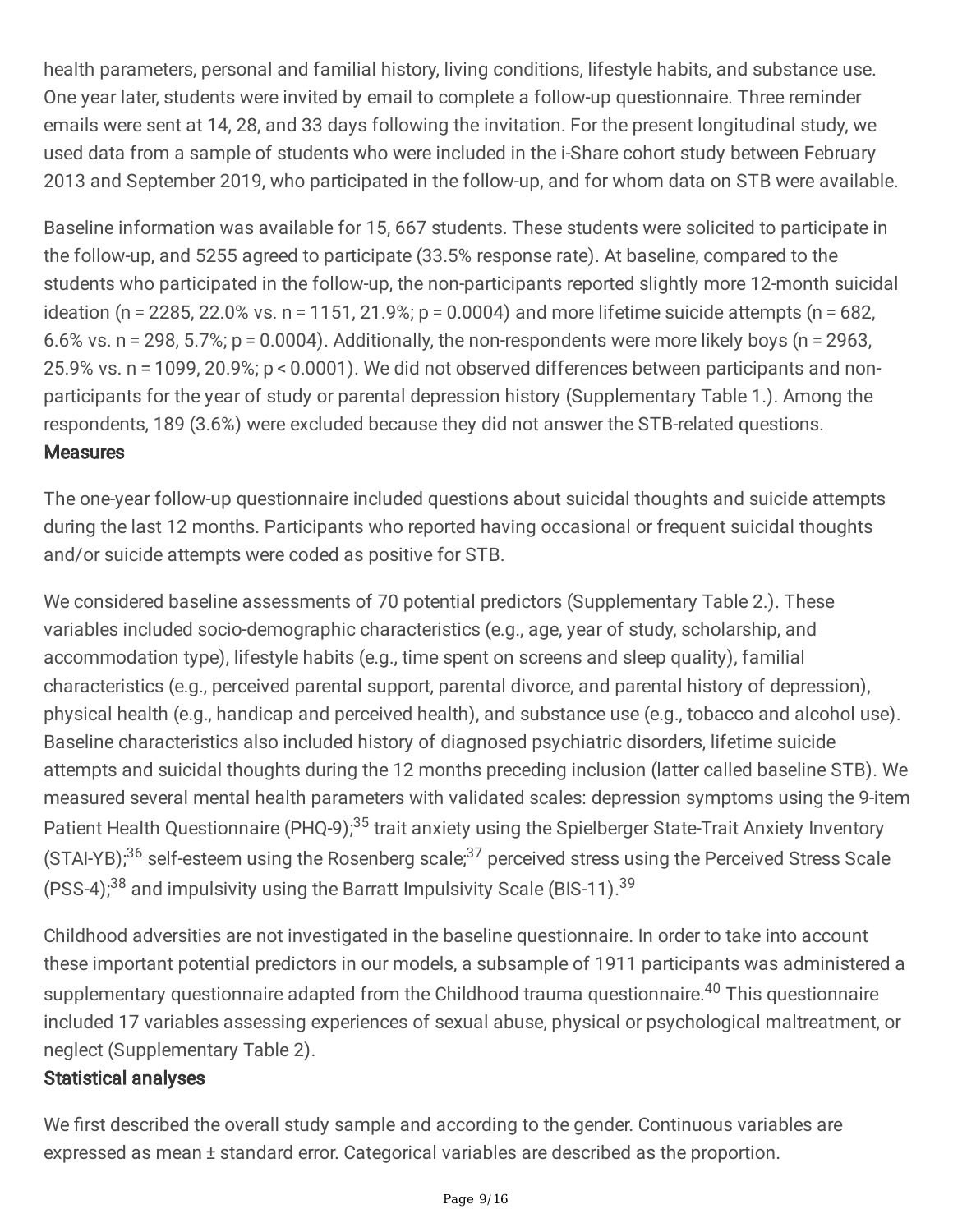health parameters, personal and familial history, living conditions, lifestyle habits, and substance use. One year later, students were invited by email to complete a follow-up questionnaire. Three reminder emails were sent at 14, 28, and 33 days following the invitation. For the present longitudinal study, we used data from a sample of students who were included in the i-Share cohort study between February 2013 and September 2019, who participated in the follow-up, and for whom data on STB were available.

Baseline information was available for 15, 667 students. These students were solicited to participate in the follow-up, and 5255 agreed to participate (33.5% response rate). At baseline, compared to the students who participated in the follow-up, the non-participants reported slightly more 12-month suicidal ideation (n = 2285, 22.0% vs. n = 1151, 21.9%; p = 0.0004) and more lifetime suicide attempts (n = 682, 6.6% vs. n = 298, 5.7%;  $p = 0.0004$ ). Additionally, the non-respondents were more likely boys (n = 2963, 25.9% vs. n = 1099, 20.9%; p < 0.0001). We did not observed differences between participants and nonparticipants for the year of study or parental depression history (Supplementary Table 1.). Among the respondents, 189 (3.6%) were excluded because they did not answer the STB-related questions. **Measures** 

The one-year follow-up questionnaire included questions about suicidal thoughts and suicide attempts during the last 12 months. Participants who reported having occasional or frequent suicidal thoughts and/or suicide attempts were coded as positive for STB.

We considered baseline assessments of 70 potential predictors (Supplementary Table 2.). These variables included socio-demographic characteristics (e.g., age, year of study, scholarship, and accommodation type), lifestyle habits (e.g., time spent on screens and sleep quality), familial characteristics (e.g., perceived parental support, parental divorce, and parental history of depression), physical health (e.g., handicap and perceived health), and substance use (e.g., tobacco and alcohol use). Baseline characteristics also included history of diagnosed psychiatric disorders, lifetime suicide attempts and suicidal thoughts during the 12 months preceding inclusion (latter called baseline STB). We measured several mental health parameters with validated scales: depression symptoms using the 9-item Patient Health Questionnaire (PHQ-9);<sup>35</sup> trait anxiety using the Spielberger State-Trait Anxiety Inventory (STAI-YB);<sup>36</sup> self-esteem using the Rosenberg scale;<sup>37</sup> perceived stress using the Perceived Stress Scale (PSS-4); $38$  and impulsivity using the Barratt Impulsivity Scale (BIS-11).  $39$ 

Childhood adversities are not investigated in the baseline questionnaire. In order to take into account these important potential predictors in our models, a subsample of 1911 participants was administered a supplementary questionnaire adapted from the Childhood trauma questionnaire.<sup>40</sup> This questionnaire included 17 variables assessing experiences of sexual abuse, physical or psychological maltreatment, or neglect (Supplementary Table 2).

### Statistical analyses

We first described the overall study sample and according to the gender. Continuous variables are expressed as mean ± standard error. Categorical variables are described as the proportion.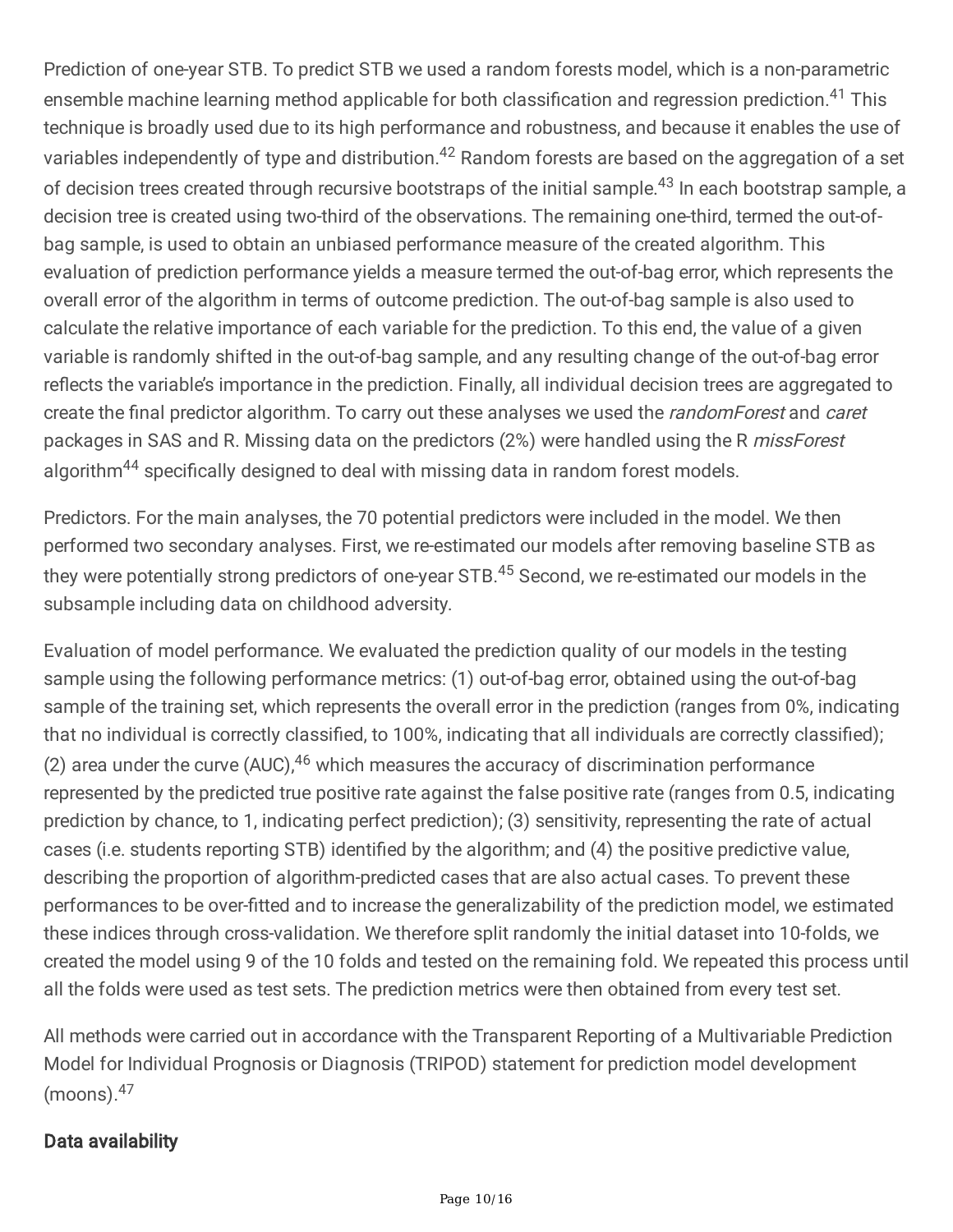Prediction of one-year STB. To predict STB we used a random forests model, which is a non-parametric ensemble machine learning method applicable for both classification and regression prediction.<sup>41</sup> This technique is broadly used due to its high performance and robustness, and because it enables the use of variables independently of type and distribution.<sup>42</sup> Random forests are based on the aggregation of a set of decision trees created through recursive bootstraps of the initial sample.<sup>43</sup> In each bootstrap sample, a decision tree is created using two-third of the observations. The remaining one-third, termed the out-ofbag sample, is used to obtain an unbiased performance measure of the created algorithm. This evaluation of prediction performance yields a measure termed the out-of-bag error, which represents the overall error of the algorithm in terms of outcome prediction. The out-of-bag sample is also used to calculate the relative importance of each variable for the prediction. To this end, the value of a given variable is randomly shifted in the out-of-bag sample, and any resulting change of the out-of-bag error reflects the variable's importance in the prediction. Finally, all individual decision trees are aggregated to create the final predictor algorithm. To carry out these analyses we used the *randomForest* and *caret* packages in SAS and R. Missing data on the predictors (2%) were handled using the R missForest algorithm<sup>44</sup> specifically designed to deal with missing data in random forest models.

Predictors. For the main analyses, the 70 potential predictors were included in the model. We then performed two secondary analyses. First, we re-estimated our models after removing baseline STB as they were potentially strong predictors of one-year STB.<sup>45</sup> Second, we re-estimated our models in the subsample including data on childhood adversity.

Evaluation of model performance. We evaluated the prediction quality of our models in the testing sample using the following performance metrics: (1) out-of-bag error, obtained using the out-of-bag sample of the training set, which represents the overall error in the prediction (ranges from 0%, indicating that no individual is correctly classified, to 100%, indicating that all individuals are correctly classified); (2) area under the curve  $(AUC)^{46}$  which measures the accuracy of discrimination performance represented by the predicted true positive rate against the false positive rate (ranges from 0.5, indicating prediction by chance, to 1, indicating perfect prediction); (3) sensitivity, representing the rate of actual cases (i.e. students reporting STB) identified by the algorithm; and (4) the positive predictive value, describing the proportion of algorithm-predicted cases that are also actual cases. To prevent these performances to be over-tted and to increase the generalizability of the prediction model, we estimated these indices through cross-validation. We therefore split randomly the initial dataset into 10-folds, we created the model using 9 of the 10 folds and tested on the remaining fold. We repeated this process until all the folds were used as test sets. The prediction metrics were then obtained from every test set.

All methods were carried out in accordance with the Transparent Reporting of a Multivariable Prediction Model for Individual Prognosis or Diagnosis (TRIPOD) statement for prediction model development (moons). 47

### Data availability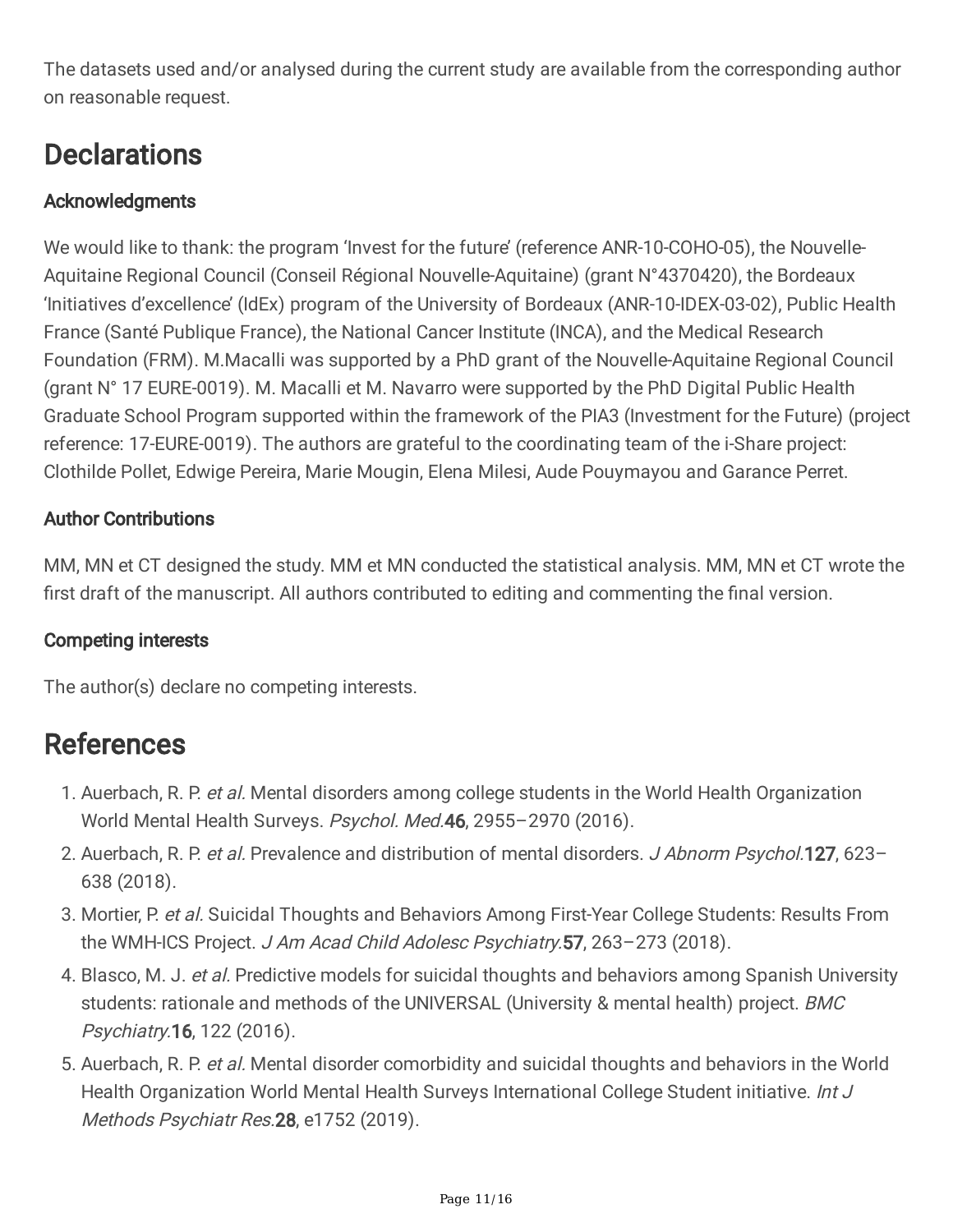The datasets used and/or analysed during the current study are available from the corresponding author on reasonable request.

## **Declarations**

### **Acknowledgments**

We would like to thank: the program 'Invest for the future' (reference ANR-10-COHO-05), the Nouvelle-Aquitaine Regional Council (Conseil Régional Nouvelle-Aquitaine) (grant N°4370420), the Bordeaux 'Initiatives d'excellence' (IdEx) program of the University of Bordeaux (ANR-10-IDEX-03-02), Public Health France (Santé Publique France), the National Cancer Institute (INCA), and the Medical Research Foundation (FRM). M.Macalli was supported by a PhD grant of the Nouvelle-Aquitaine Regional Council (grant N° 17 EURE-0019). M. Macalli et M. Navarro were supported by the PhD Digital Public Health Graduate School Program supported within the framework of the PIA3 (Investment for the Future) (project reference: 17-EURE-0019). The authors are grateful to the coordinating team of the i-Share project: Clothilde Pollet, Edwige Pereira, Marie Mougin, Elena Milesi, Aude Pouymayou and Garance Perret.

### Author Contributions

MM, MN et CT designed the study. MM et MN conducted the statistical analysis. MM, MN et CT wrote the first draft of the manuscript. All authors contributed to editing and commenting the final version.

### Competing interests

The author(s) declare no competing interests.

## References

- 1. Auerbach, R. P. et al. Mental disorders among college students in the World Health Organization World Mental Health Surveys. Psychol. Med.46, 2955-2970 (2016).
- 2. Auerbach, R. P. et al. Prevalence and distribution of mental disorders. J Abnorm Psychol.127, 623-638 (2018).
- 3. Mortier, P. et al. Suicidal Thoughts and Behaviors Among First-Year College Students: Results From the WMH-ICS Project. J Am Acad Child Adolesc Psychiatry.57, 263-273 (2018).
- 4. Blasco, M. J. et al. Predictive models for suicidal thoughts and behaviors among Spanish University students: rationale and methods of the UNIVERSAL (University & mental health) project. BMC Psychiatry.16, 122 (2016).
- 5. Auerbach, R. P. et al. Mental disorder comorbidity and suicidal thoughts and behaviors in the World Health Organization World Mental Health Surveys International College Student initiative. Int J Methods Psychiatr Res.28, e1752 (2019).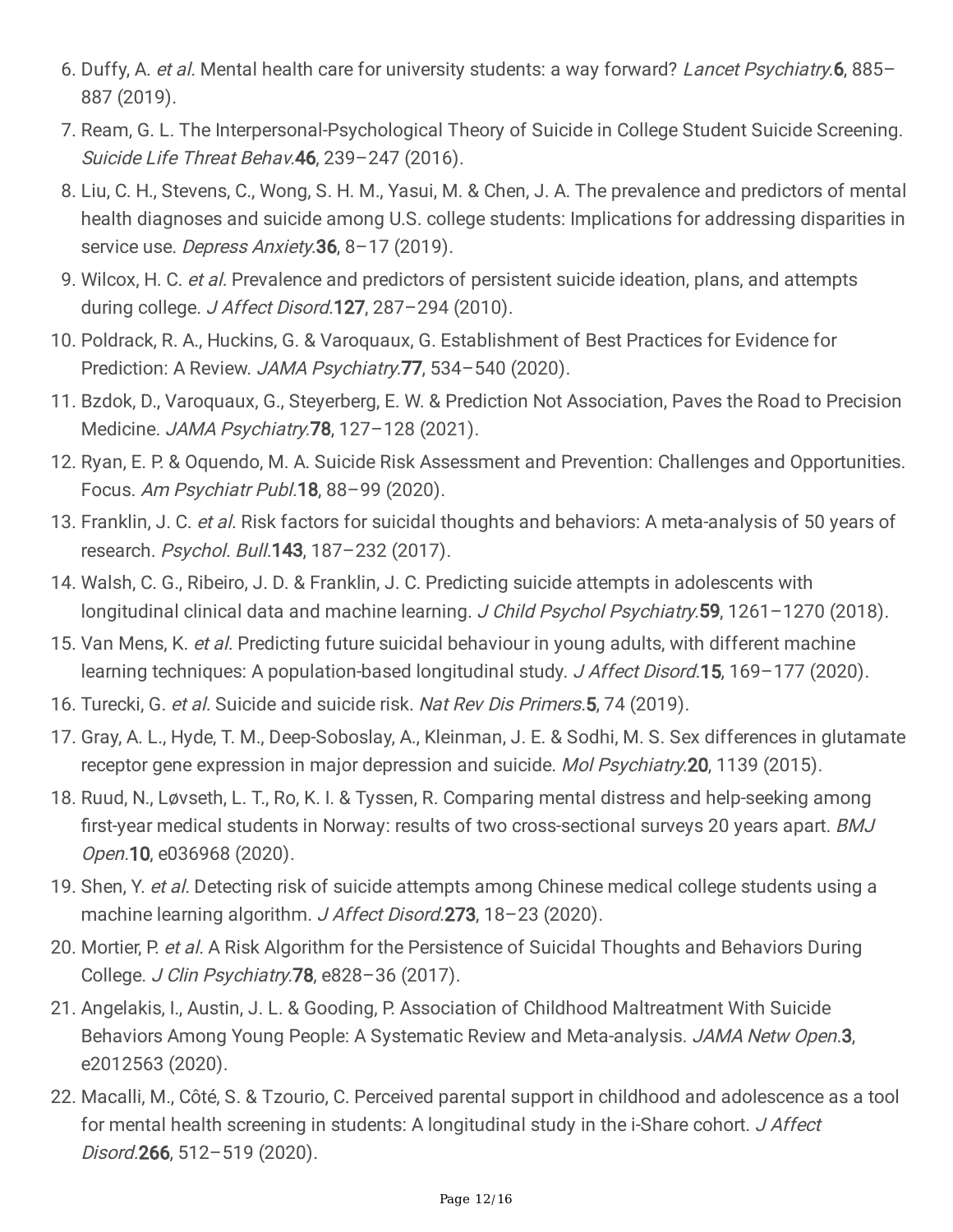- 6. Duffy, A. et al. Mental health care for university students: a way forward? Lancet Psychiatry.6, 885– 887 (2019).
- 7. Ream, G. L. The Interpersonal-Psychological Theory of Suicide in College Student Suicide Screening. Suicide Life Threat Behav. 46, 239-247 (2016).
- 8. Liu, C. H., Stevens, C., Wong, S. H. M., Yasui, M. & Chen, J. A. The prevalence and predictors of mental health diagnoses and suicide among U.S. college students: Implications for addressing disparities in service use. Depress Anxiety. 36, 8-17 (2019).
- 9. Wilcox, H. C. et al. Prevalence and predictors of persistent suicide ideation, plans, and attempts during college. J Affect Disord.127, 287-294 (2010).
- 10. Poldrack, R. A., Huckins, G. & Varoquaux, G. Establishment of Best Practices for Evidence for Prediction: A Review. JAMA Psychiatry.77, 534-540 (2020).
- 11. Bzdok, D., Varoquaux, G., Steyerberg, E. W. & Prediction Not Association, Paves the Road to Precision Medicine. JAMA Psychiatry.78, 127–128 (2021).
- 12. Ryan, E. P. & Oquendo, M. A. Suicide Risk Assessment and Prevention: Challenges and Opportunities. Focus. Am Psychiatr Publ.18, 88–99 (2020).
- 13. Franklin, J. C. et al. Risk factors for suicidal thoughts and behaviors: A meta-analysis of 50 years of research. Psychol. Bull.143, 187–232 (2017).
- 14. Walsh, C. G., Ribeiro, J. D. & Franklin, J. C. Predicting suicide attempts in adolescents with longitudinal clinical data and machine learning. J Child Psychol Psychiatry.59, 1261-1270 (2018).
- 15. Van Mens, K. et al. Predicting future suicidal behaviour in young adults, with different machine learning techniques: A population-based longitudinal study. J Affect Disord.15, 169-177 (2020).
- 16. Turecki, G. et al. Suicide and suicide risk. Nat Rev Dis Primers. 5, 74 (2019).
- 17. Gray, A. L., Hyde, T. M., Deep-Soboslay, A., Kleinman, J. E. & Sodhi, M. S. Sex differences in glutamate receptor gene expression in major depression and suicide. *Mol Psychiatry.* **20**, 1139 (2015).
- 18. Ruud, N., Løvseth, L. T., Ro, K. I. & Tyssen, R. Comparing mental distress and help-seeking among first-year medical students in Norway: results of two cross-sectional surveys 20 years apart. BMJ Open.10, e036968 (2020).
- 19. Shen, Y. et al. Detecting risk of suicide attempts among Chinese medical college students using a machine learning algorithm. J Affect Disord. 273, 18-23 (2020).
- 20. Mortier, P. et al. A Risk Algorithm for the Persistence of Suicidal Thoughts and Behaviors During College. J Clin Psychiatry.78, e828–36 (2017).
- 21. Angelakis, I., Austin, J. L. & Gooding, P. Association of Childhood Maltreatment With Suicide Behaviors Among Young People: A Systematic Review and Meta-analysis. JAMA Netw Open.3, e2012563 (2020).
- 22. Macalli, M., Côté, S. & Tzourio, C. Perceived parental support in childhood and adolescence as a tool for mental health screening in students: A longitudinal study in the i-Share cohort. J Affect Disord.266, 512–519 (2020).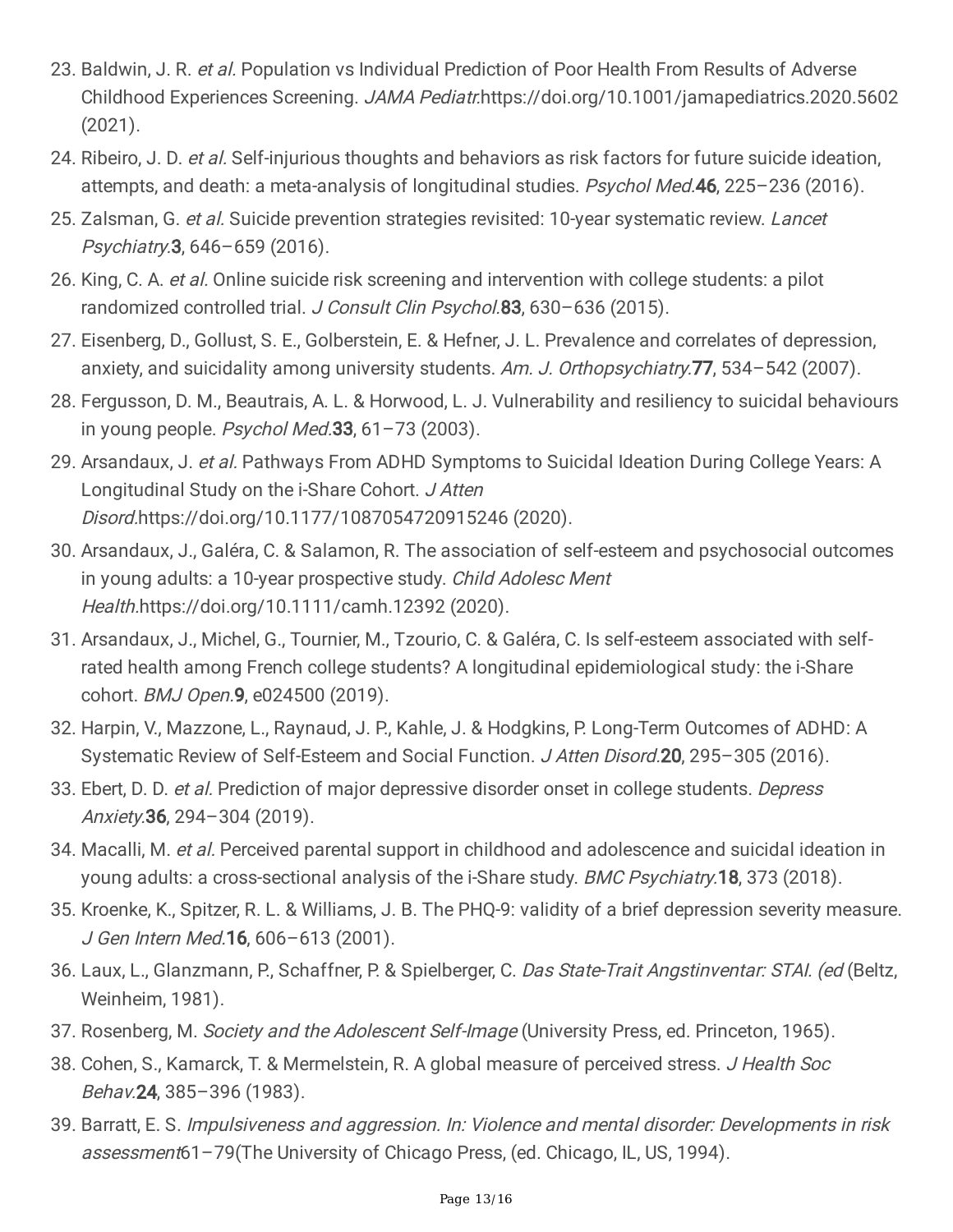- 23. Baldwin, J. R. et al. Population vs Individual Prediction of Poor Health From Results of Adverse Childhood Experiences Screening. JAMA Pediatr.https://doi.org/10.1001/jamapediatrics.2020.5602 (2021).
- 24. Ribeiro, J. D. et al. Self-injurious thoughts and behaviors as risk factors for future suicide ideation, attempts, and death: a meta-analysis of longitudinal studies. Psychol Med.46, 225-236 (2016).
- 25. Zalsman, G. et al. Suicide prevention strategies revisited: 10-year systematic review. Lancet Psychiatry.3, 646–659 (2016).
- 26. King, C. A. et al. Online suicide risk screening and intervention with college students: a pilot randomized controlled trial. J Consult Clin Psychol.83, 630-636 (2015).
- 27. Eisenberg, D., Gollust, S. E., Golberstein, E. & Hefner, J. L. Prevalence and correlates of depression, anxiety, and suicidality among university students. Am. J. Orthopsychiatry. 77, 534–542 (2007).
- 28. Fergusson, D. M., Beautrais, A. L. & Horwood, L. J. Vulnerability and resiliency to suicidal behaviours in young people. Psychol Med.  $33, 61 - 73$  (2003).
- 29. Arsandaux, J. et al. Pathways From ADHD Symptoms to Suicidal Ideation During College Years: A Longitudinal Study on the i-Share Cohort. J Atten Disord.https://doi.org/10.1177/1087054720915246 (2020).
- 30. Arsandaux, J., Galéra, C. & Salamon, R. The association of self-esteem and psychosocial outcomes in young adults: a 10-year prospective study. Child Adolesc Ment Health.https://doi.org/10.1111/camh.12392 (2020).
- 31. Arsandaux, J., Michel, G., Tournier, M., Tzourio, C. & Galéra, C. Is self-esteem associated with selfrated health among French college students? A longitudinal epidemiological study: the i-Share cohort. BMJ Open.9, e024500 (2019).
- 32. Harpin, V., Mazzone, L., Raynaud, J. P., Kahle, J. & Hodgkins, P. Long-Term Outcomes of ADHD: A Systematic Review of Self-Esteem and Social Function. J Atten Disord. 20, 295-305 (2016).
- 33. Ebert, D. D. et al. Prediction of major depressive disorder onset in college students. Depress Anxiety.36, 294–304 (2019).
- 34. Macalli, M. et al. Perceived parental support in childhood and adolescence and suicidal ideation in young adults: a cross-sectional analysis of the i-Share study. *BMC Psychiatry*.18, 373 (2018).
- 35. Kroenke, K., Spitzer, R. L. & Williams, J. B. The PHQ-9: validity of a brief depression severity measure. J Gen Intern Med.16, 606–613 (2001).
- 36. Laux, L., Glanzmann, P., Schaffner, P. & Spielberger, C. Das State-Trait Angstinventar: STAI. (ed (Beltz, Weinheim, 1981).
- 37. Rosenberg, M. Society and the Adolescent Self-Image (University Press, ed. Princeton, 1965).
- 38. Cohen, S., Kamarck, T. & Mermelstein, R. A global measure of perceived stress. J Health Soc Behav.24, 385–396 (1983).
- 39. Barratt, E. S. Impulsiveness and aggression. In: Violence and mental disorder: Developments in risk assessment61-79(The University of Chicago Press, (ed. Chicago, IL, US, 1994).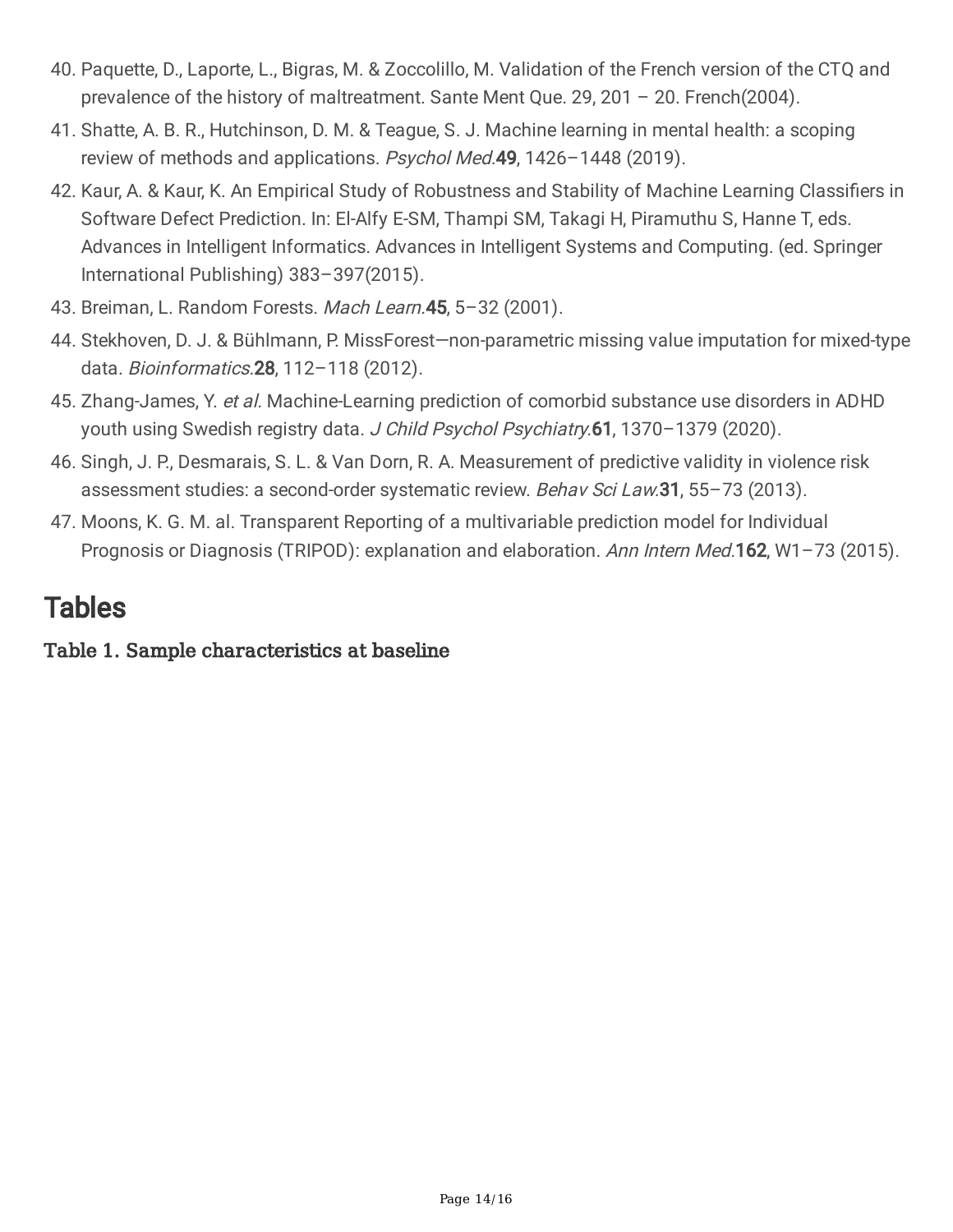- 40. Paquette, D., Laporte, L., Bigras, M. & Zoccolillo, M. Validation of the French version of the CTQ and prevalence of the history of maltreatment. Sante Ment Que. 29, 201 – 20. French(2004).
- 41. Shatte, A. B. R., Hutchinson, D. M. & Teague, S. J. Machine learning in mental health: a scoping review of methods and applications. Psychol Med.49, 1426-1448 (2019).
- 42. Kaur, A. & Kaur, K. An Empirical Study of Robustness and Stability of Machine Learning Classifiers in Software Defect Prediction. In: El-Alfy E-SM, Thampi SM, Takagi H, Piramuthu S, Hanne T, eds. Advances in Intelligent Informatics. Advances in Intelligent Systems and Computing. (ed. Springer International Publishing) 383–397(2015).
- 43. Breiman, L. Random Forests. Mach Learn. 45, 5-32 (2001).
- 44. Stekhoven, D. J. & Bühlmann, P. MissForest—non-parametric missing value imputation for mixed-type data. Bioinformatics.28, 112–118 (2012).
- 45. Zhang-James, Y. et al. Machine-Learning prediction of comorbid substance use disorders in ADHD youth using Swedish registry data. J Child Psychol Psychiatry.61, 1370-1379 (2020).
- 46. Singh, J. P., Desmarais, S. L. & Van Dorn, R. A. Measurement of predictive validity in violence risk assessment studies: a second-order systematic review. Behav Sci Law.31, 55-73 (2013).
- 47. Moons, K. G. M. al. Transparent Reporting of a multivariable prediction model for Individual Prognosis or Diagnosis (TRIPOD): explanation and elaboration. Ann Intern Med.162, W1-73 (2015).

## **Tables**

Table 1. Sample characteristics at baseline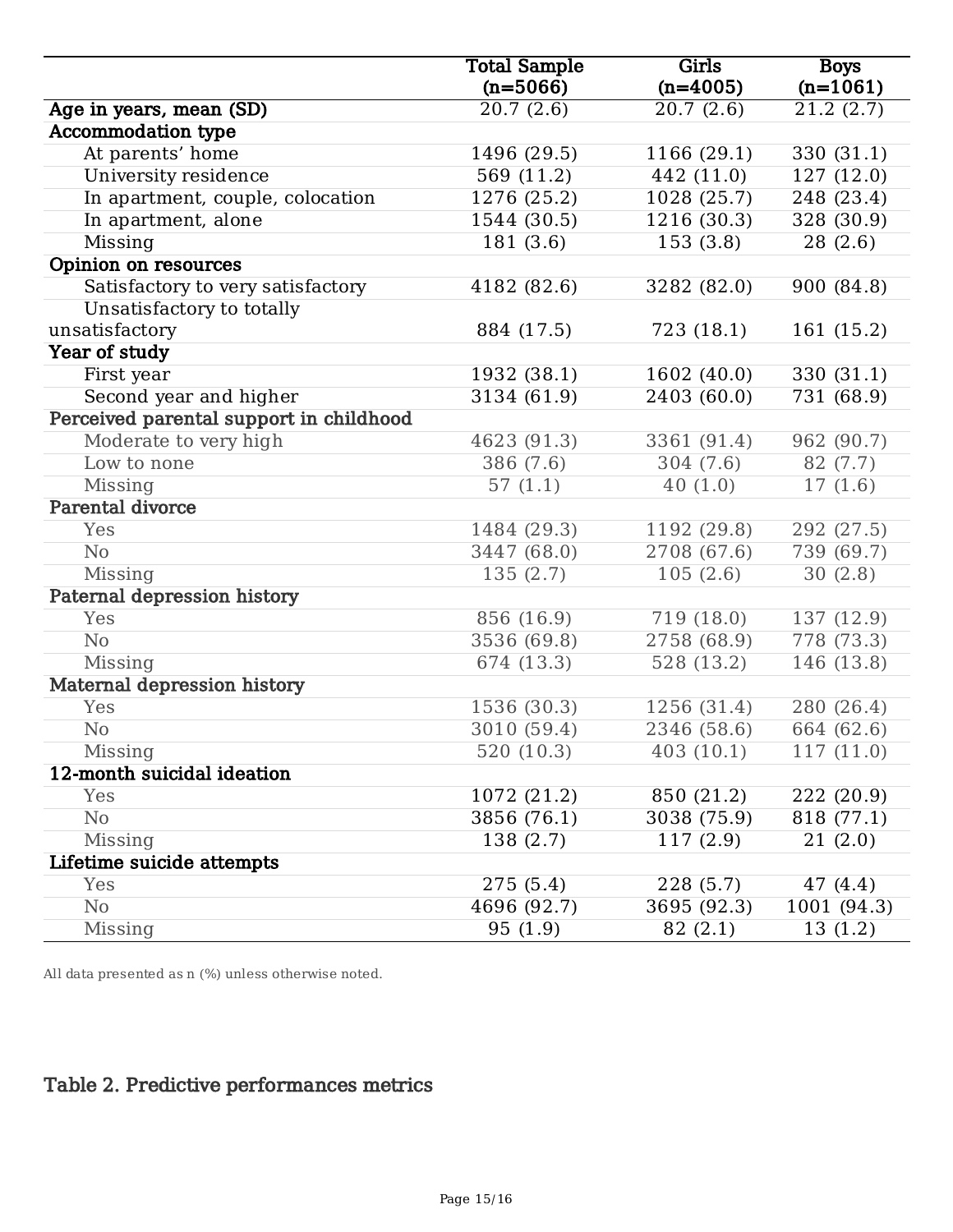|                                         | <b>Total Sample</b> | Girls       | <b>Boys</b> |
|-----------------------------------------|---------------------|-------------|-------------|
|                                         | $(n=5066)$          | $(n=4005)$  | $(n=1061)$  |
| Age in years, mean (SD)                 | 20.7(2.6)           | 20.7(2.6)   | 21.2(2.7)   |
| <b>Accommodation type</b>               |                     |             |             |
| At parents' home                        | 1496 (29.5)         | 1166 (29.1) | 330 (31.1)  |
| University residence                    | 569 (11.2)          | 442 (11.0)  | 127 (12.0)  |
| In apartment, couple, colocation        | 1276 (25.2)         | 1028 (25.7) | 248 (23.4)  |
| In apartment, alone                     | 1544 (30.5)         | 1216 (30.3) | 328 (30.9)  |
| Missing                                 | 181(3.6)            | 153(3.8)    | 28(2.6)     |
| Opinion on resources                    |                     |             |             |
| Satisfactory to very satisfactory       | 4182 (82.6)         | 3282 (82.0) | 900 (84.8)  |
| Unsatisfactory to totally               |                     |             |             |
| unsatisfactory                          | 884 (17.5)          | 723 (18.1)  | 161 (15.2)  |
| Year of study                           |                     |             |             |
| First year                              | 1932 (38.1)         | 1602 (40.0) | 330 (31.1)  |
| Second year and higher                  | 3134 (61.9)         | 2403 (60.0) | 731 (68.9)  |
| Perceived parental support in childhood |                     |             |             |
| Moderate to very high                   | 4623 (91.3)         | 3361 (91.4) | 962 (90.7)  |
| Low to none                             | 386 (7.6)           | 304(7.6)    | 82 (7.7)    |
| Missing                                 | 57(1.1)             | 40(1.0)     | 17(1.6)     |
| Parental divorce                        |                     |             |             |
| Yes                                     | 1484 (29.3)         | 1192 (29.8) | 292 (27.5)  |
| N <sub>0</sub>                          | 3447 (68.0)         | 2708 (67.6) | 739 (69.7)  |
| Missing                                 | 135(2.7)            | 105(2.6)    | 30(2.8)     |
| Paternal depression history             |                     |             |             |
| Yes                                     | 856 (16.9)          | 719 (18.0)  | 137 (12.9)  |
| N <sub>o</sub>                          | 3536 (69.8)         | 2758 (68.9) | 778 (73.3)  |
| Missing                                 | 674 (13.3)          | 528(13.2)   | 146 (13.8)  |
| Maternal depression history             |                     |             |             |
| Yes                                     | 1536 (30.3)         | 1256 (31.4) | 280 (26.4)  |
| N <sub>o</sub>                          | 3010 (59.4)         | 2346 (58.6) | 664 (62.6)  |
| Missing                                 | 520(10.3)           | 403(10.1)   | 117(11.0)   |
| 12-month suicidal ideation              |                     |             |             |
| Yes                                     | 1072 (21.2)         | 850 (21.2)  | 222 (20.9)  |
| No                                      | 3856 (76.1)         | 3038 (75.9) | 818 (77.1)  |
| Missing                                 | 138 (2.7)           | 117(2.9)    | 21(2.0)     |
| Lifetime suicide attempts               |                     |             |             |
| Yes                                     | 275(5.4)            | 228 (5.7)   | 47 (4.4)    |
| No                                      | 4696 (92.7)         | 3695 (92.3) | 1001 (94.3) |
| Missing                                 | 95(1.9)             | 82 (2.1)    | 13(1.2)     |

All data presented as n (%) unless otherwise noted.

## Table 2. Predictive performances metrics